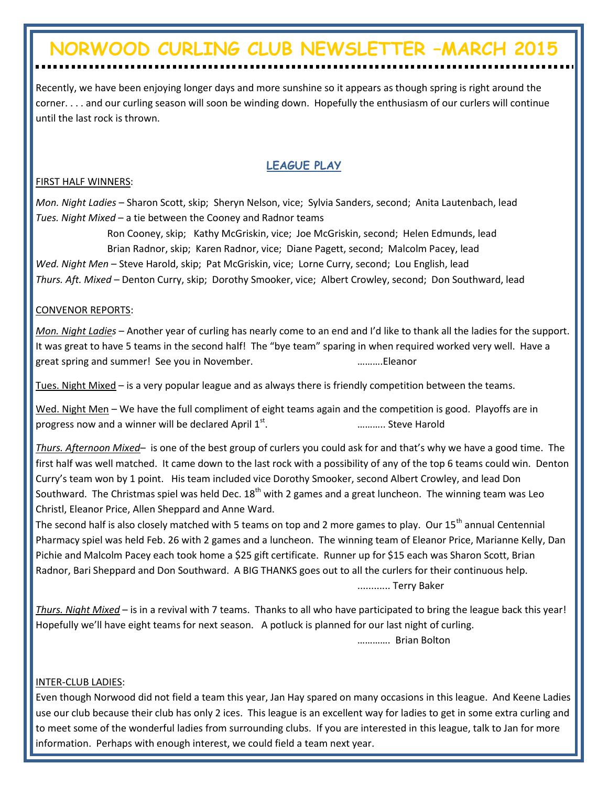# **NORWOOD CURLING CLUB NEWSLETTER –MARCH 2015**

Recently, we have been enjoying longer days and more sunshine so it appears as though spring is right around the corner. . . . and our curling season will soon be winding down. Hopefully the enthusiasm of our curlers will continue until the last rock is thrown.

## **LEAGUE PLAY**

#### FIRST HALF WINNERS:

*Mon. Night Ladies* – Sharon Scott, skip; Sheryn Nelson, vice; Sylvia Sanders, second; Anita Lautenbach, lead *Tues. Night Mixed* – a tie between the Cooney and Radnor teams

Ron Cooney, skip; Kathy McGriskin, vice; Joe McGriskin, second; Helen Edmunds, lead Brian Radnor, skip; Karen Radnor, vice; Diane Pagett, second; Malcolm Pacey, lead *Wed. Night Men* – Steve Harold, skip; Pat McGriskin, vice; Lorne Curry, second; Lou English, lead *Thurs. Aft. Mixed* – Denton Curry, skip; Dorothy Smooker, vice; Albert Crowley, second; Don Southward, lead

#### CONVENOR REPORTS:

*Mon. Night Ladies* – Another year of curling has nearly come to an end and I'd like to thank all the ladies for the support. It was great to have 5 teams in the second half! The "bye team" sparing in when required worked very well. Have a great spring and summer! See you in November. ……….Eleanor

Tues. Night Mixed – is a very popular league and as always there is friendly competition between the teams.

Wed. Night Men – We have the full compliment of eight teams again and the competition is good. Playoffs are in progress now and a winner will be declared April  $1<sup>st</sup>$ . . ……….. Steve Harold

*Thurs. Afternoon Mixed*– is one of the best group of curlers you could ask for and that's why we have a good time. The first half was well matched. It came down to the last rock with a possibility of any of the top 6 teams could win. Denton Curry's team won by 1 point. His team included vice Dorothy Smooker, second Albert Crowley, and lead Don Southward. The Christmas spiel was held Dec.  $18<sup>th</sup>$  with 2 games and a great luncheon. The winning team was Leo Christl, Eleanor Price, Allen Sheppard and Anne Ward.

The second half is also closely matched with 5 teams on top and 2 more games to play. Our 15<sup>th</sup> annual Centennial Pharmacy spiel was held Feb. 26 with 2 games and a luncheon. The winning team of Eleanor Price, Marianne Kelly, Dan Pichie and Malcolm Pacey each took home a \$25 gift certificate. Runner up for \$15 each was Sharon Scott, Brian Radnor, Bari Sheppard and Don Southward. A BIG THANKS goes out to all the curlers for their continuous help.

............ Terry Baker

*Thurs. Night Mixed* – is in a revival with 7 teams. Thanks to all who have participated to bring the league back this year! Hopefully we'll have eight teams for next season. A potluck is planned for our last night of curling.

…………. Brian Bolton

#### INTER-CLUB LADIES:

Even though Norwood did not field a team this year, Jan Hay spared on many occasions in this league. And Keene Ladies use our club because their club has only 2 ices. This league is an excellent way for ladies to get in some extra curling and to meet some of the wonderful ladies from surrounding clubs. If you are interested in this league, talk to Jan for more information. Perhaps with enough interest, we could field a team next year.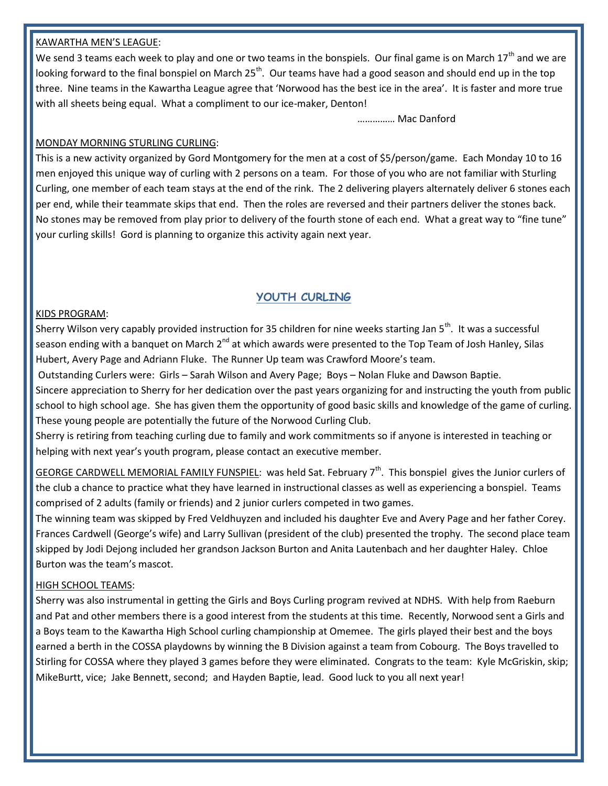#### KAWARTHA MEN'S LEAGUE:

We send 3 teams each week to play and one or two teams in the bonspiels. Our final game is on March 17<sup>th</sup> and we are looking forward to the final bonspiel on March  $25<sup>th</sup>$ . Our teams have had a good season and should end up in the top three. Nine teams in the Kawartha League agree that 'Norwood has the best ice in the area'. It is faster and more true with all sheets being equal. What a compliment to our ice-maker, Denton!

…………… Mac Danford

#### MONDAY MORNING STURLING CURLING:

This is a new activity organized by Gord Montgomery for the men at a cost of \$5/person/game. Each Monday 10 to 16 men enjoyed this unique way of curling with 2 persons on a team. For those of you who are not familiar with Sturling Curling, one member of each team stays at the end of the rink. The 2 delivering players alternately deliver 6 stones each per end, while their teammate skips that end. Then the roles are reversed and their partners deliver the stones back. No stones may be removed from play prior to delivery of the fourth stone of each end. What a great way to "fine tune" your curling skills! Gord is planning to organize this activity again next year.

### **YOUTH CURLING**

#### KIDS PROGRAM:

Sherry Wilson very capably provided instruction for 35 children for nine weeks starting Jan 5<sup>th</sup>. It was a successful season ending with a banquet on March 2<sup>nd</sup> at which awards were presented to the Top Team of Josh Hanley, Silas Hubert, Avery Page and Adriann Fluke. The Runner Up team was Crawford Moore's team.

Outstanding Curlers were: Girls – Sarah Wilson and Avery Page; Boys – Nolan Fluke and Dawson Baptie.

Sincere appreciation to Sherry for her dedication over the past years organizing for and instructing the youth from public school to high school age. She has given them the opportunity of good basic skills and knowledge of the game of curling. These young people are potentially the future of the Norwood Curling Club.

Sherry is retiring from teaching curling due to family and work commitments so if anyone is interested in teaching or helping with next year's youth program, please contact an executive member.

GEORGE CARDWELL MEMORIAL FAMILY FUNSPIEL: was held Sat. February 7<sup>th</sup>. This bonspiel gives the Junior curlers of the club a chance to practice what they have learned in instructional classes as well as experiencing a bonspiel. Teams comprised of 2 adults (family or friends) and 2 junior curlers competed in two games.

The winning team was skipped by Fred Veldhuyzen and included his daughter Eve and Avery Page and her father Corey. Frances Cardwell (George's wife) and Larry Sullivan (president of the club) presented the trophy. The second place team skipped by Jodi Dejong included her grandson Jackson Burton and Anita Lautenbach and her daughter Haley. Chloe Burton was the team's mascot.

#### HIGH SCHOOL TEAMS:

Sherry was also instrumental in getting the Girls and Boys Curling program revived at NDHS. With help from Raeburn and Pat and other members there is a good interest from the students at this time. Recently, Norwood sent a Girls and a Boys team to the Kawartha High School curling championship at Omemee. The girls played their best and the boys earned a berth in the COSSA playdowns by winning the B Division against a team from Cobourg. The Boys travelled to Stirling for COSSA where they played 3 games before they were eliminated. Congrats to the team: Kyle McGriskin, skip; MikeBurtt, vice; Jake Bennett, second; and Hayden Baptie, lead. Good luck to you all next year!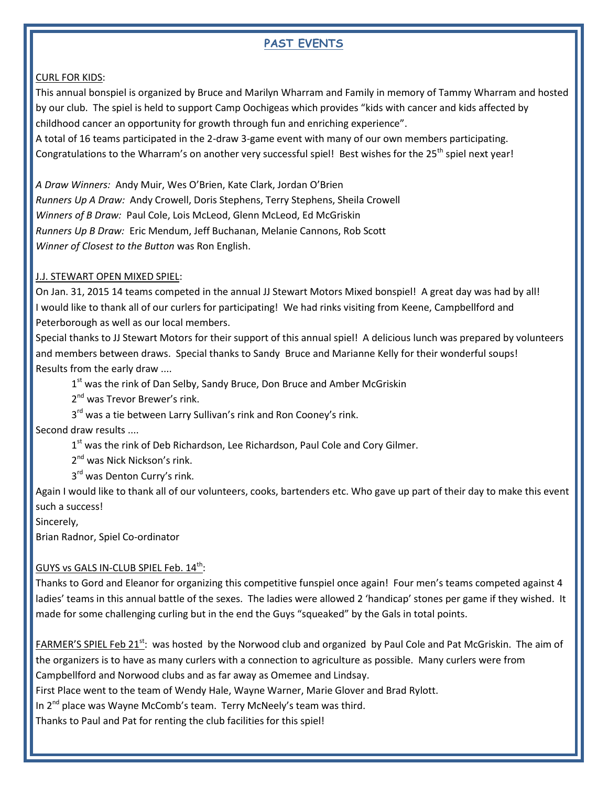## **PAST EVENTS**

#### CURL FOR KIDS:

This annual bonspiel is organized by Bruce and Marilyn Wharram and Family in memory of Tammy Wharram and hosted by our club. The spiel is held to support Camp Oochigeas which provides "kids with cancer and kids affected by childhood cancer an opportunity for growth through fun and enriching experience".

A total of 16 teams participated in the 2-draw 3-game event with many of our own members participating. Congratulations to the Wharram's on another very successful spiel! Best wishes for the 25<sup>th</sup> spiel next year!

*A Draw Winners:* Andy Muir, Wes O'Brien, Kate Clark, Jordan O'Brien *Runners Up A Draw:* Andy Crowell, Doris Stephens, Terry Stephens, Sheila Crowell *Winners of B Draw:* Paul Cole, Lois McLeod, Glenn McLeod, Ed McGriskin *Runners Up B Draw:* Eric Mendum, Jeff Buchanan, Melanie Cannons, Rob Scott *Winner of Closest to the Button* was Ron English.

#### J.J. STEWART OPEN MIXED SPIEL:

On Jan. 31, 2015 14 teams competed in the annual JJ Stewart Motors Mixed bonspiel! A great day was had by all! I would like to thank all of our curlers for participating! We had rinks visiting from Keene, Campbellford and Peterborough as well as our local members.

Special thanks to JJ Stewart Motors for their support of this annual spiel! A delicious lunch was prepared by volunteers and members between draws. Special thanks to Sandy Bruce and Marianne Kelly for their wonderful soups! Results from the early draw ....

1<sup>st</sup> was the rink of Dan Selby, Sandy Bruce, Don Bruce and Amber McGriskin

2<sup>nd</sup> was Trevor Brewer's rink.

3<sup>rd</sup> was a tie between Larry Sullivan's rink and Ron Cooney's rink.

Second draw results ....

1<sup>st</sup> was the rink of Deb Richardson, Lee Richardson, Paul Cole and Cory Gilmer.

2<sup>nd</sup> was Nick Nickson's rink.

3<sup>rd</sup> was Denton Curry's rink.

Again I would like to thank all of our volunteers, cooks, bartenders etc. Who gave up part of their day to make this event such a success!

Sincerely,

Brian Radnor, Spiel Co-ordinator

#### <u>GUYS vs GALS IN-CLUB SPIEL Feb. 14<sup>th</sup>:</u>

Thanks to Gord and Eleanor for organizing this competitive funspiel once again! Four men's teams competed against 4 ladies' teams in this annual battle of the sexes. The ladies were allowed 2 'handicap' stones per game if they wished. It made for some challenging curling but in the end the Guys "squeaked" by the Gals in total points.

FARMER'S SPIEL Feb 21<sup>st</sup>: was hosted by the Norwood club and organized by Paul Cole and Pat McGriskin. The aim of the organizers is to have as many curlers with a connection to agriculture as possible. Many curlers were from Campbellford and Norwood clubs and as far away as Omemee and Lindsay.

First Place went to the team of Wendy Hale, Wayne Warner, Marie Glover and Brad Rylott.

In 2<sup>nd</sup> place was Wayne McComb's team. Terry McNeely's team was third.

Thanks to Paul and Pat for renting the club facilities for this spiel!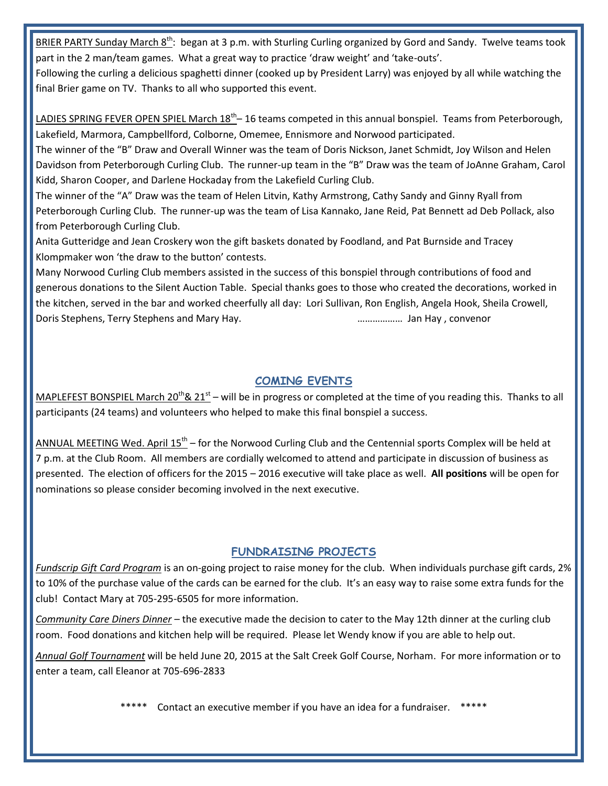BRIER PARTY Sunday March 8<sup>th</sup>: began at 3 p.m. with Sturling Curling organized by Gord and Sandy. Twelve teams took part in the 2 man/team games. What a great way to practice 'draw weight' and 'take-outs'.

Following the curling a delicious spaghetti dinner (cooked up by President Larry) was enjoyed by all while watching the final Brier game on TV. Thanks to all who supported this event.

LADIES SPRING FEVER OPEN SPIEL March 18<sup>th</sup>-16 teams competed in this annual bonspiel. Teams from Peterborough, Lakefield, Marmora, Campbellford, Colborne, Omemee, Ennismore and Norwood participated.

The winner of the "B" Draw and Overall Winner was the team of Doris Nickson, Janet Schmidt, Joy Wilson and Helen Davidson from Peterborough Curling Club. The runner-up team in the "B" Draw was the team of JoAnne Graham, Carol Kidd, Sharon Cooper, and Darlene Hockaday from the Lakefield Curling Club.

The winner of the "A" Draw was the team of Helen Litvin, Kathy Armstrong, Cathy Sandy and Ginny Ryall from Peterborough Curling Club. The runner-up was the team of Lisa Kannako, Jane Reid, Pat Bennett ad Deb Pollack, also from Peterborough Curling Club.

Anita Gutteridge and Jean Croskery won the gift baskets donated by Foodland, and Pat Burnside and Tracey Klompmaker won 'the draw to the button' contests.

Many Norwood Curling Club members assisted in the success of this bonspiel through contributions of food and generous donations to the Silent Auction Table. Special thanks goes to those who created the decorations, worked in the kitchen, served in the bar and worked cheerfully all day: Lori Sullivan, Ron English, Angela Hook, Sheila Crowell, Doris Stephens, Terry Stephens and Mary Hay. ……………… Jan Hay , convenor

## **COMING EVENTS**

MAPLEFEST BONSPIEL March 20<sup>th</sup>& 21<sup>st</sup> – will be in progress or completed at the time of you reading this. Thanks to all participants (24 teams) and volunteers who helped to make this final bonspiel a success.

ANNUAL MEETING Wed. April 15<sup>th</sup> – for the Norwood Curling Club and the Centennial sports Complex will be held at 7 p.m. at the Club Room. All members are cordially welcomed to attend and participate in discussion of business as presented. The election of officers for the 2015 – 2016 executive will take place as well. **All positions** will be open for nominations so please consider becoming involved in the next executive.

## **FUNDRAISING PROJECTS**

*Fundscrip Gift Card Program* is an on-going project to raise money for the club. When individuals purchase gift cards, 2% to 10% of the purchase value of the cards can be earned for the club. It's an easy way to raise some extra funds for the club! Contact Mary at 705-295-6505 for more information.

*Community Care Diners Dinner* – the executive made the decision to cater to the May 12th dinner at the curling club room. Food donations and kitchen help will be required. Please let Wendy know if you are able to help out.

*Annual Golf Tournament* will be held June 20, 2015 at the Salt Creek Golf Course, Norham. For more information or to enter a team, call Eleanor at 705-696-2833

Contact an executive member if you have an idea for a fundraiser. \*\*\*\*\*